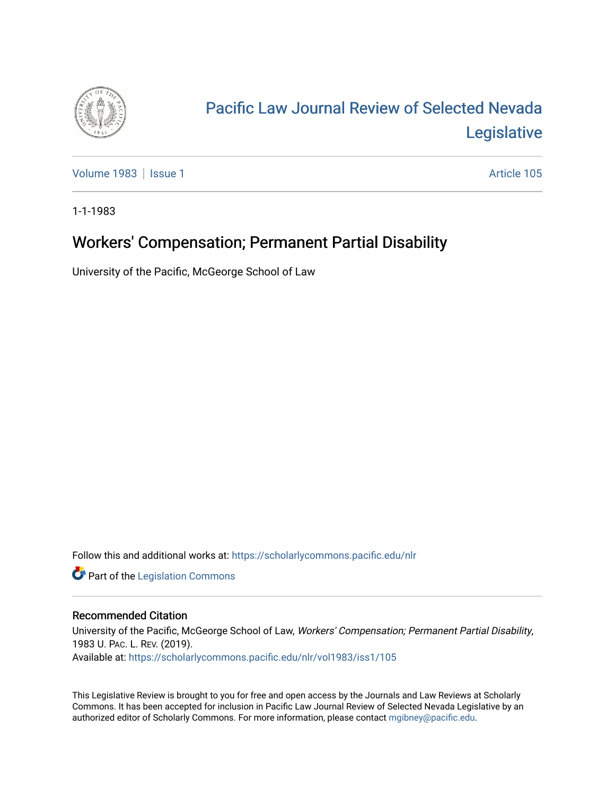

# [Pacific Law Journal Review of Selected Nevada](https://scholarlycommons.pacific.edu/nlr)  [Legislative](https://scholarlycommons.pacific.edu/nlr)

[Volume 1983](https://scholarlycommons.pacific.edu/nlr/vol1983) | [Issue 1](https://scholarlycommons.pacific.edu/nlr/vol1983/iss1) Article 105

1-1-1983

# Workers' Compensation; Permanent Partial Disability

University of the Pacific, McGeorge School of Law

Follow this and additional works at: [https://scholarlycommons.pacific.edu/nlr](https://scholarlycommons.pacific.edu/nlr?utm_source=scholarlycommons.pacific.edu%2Fnlr%2Fvol1983%2Fiss1%2F105&utm_medium=PDF&utm_campaign=PDFCoverPages) 

**Part of the [Legislation Commons](http://network.bepress.com/hgg/discipline/859?utm_source=scholarlycommons.pacific.edu%2Fnlr%2Fvol1983%2Fiss1%2F105&utm_medium=PDF&utm_campaign=PDFCoverPages)** 

### Recommended Citation

University of the Pacific, McGeorge School of Law, Workers' Compensation; Permanent Partial Disability, 1983 U. PAC. L. REV. (2019). Available at: [https://scholarlycommons.pacific.edu/nlr/vol1983/iss1/105](https://scholarlycommons.pacific.edu/nlr/vol1983/iss1/105?utm_source=scholarlycommons.pacific.edu%2Fnlr%2Fvol1983%2Fiss1%2F105&utm_medium=PDF&utm_campaign=PDFCoverPages) 

This Legislative Review is brought to you for free and open access by the Journals and Law Reviews at Scholarly Commons. It has been accepted for inclusion in Pacific Law Journal Review of Selected Nevada Legislative by an authorized editor of Scholarly Commons. For more information, please contact [mgibney@pacific.edu](mailto:mgibney@pacific.edu).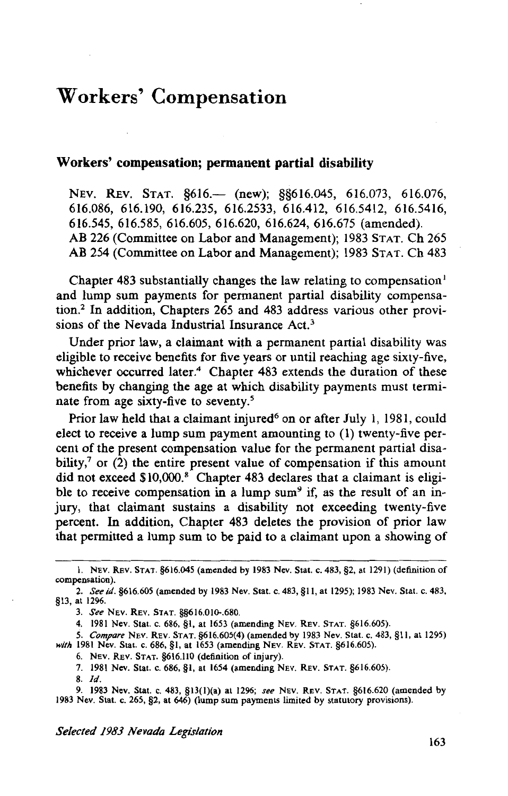## **Workers' Compensation**

### **Workers' compensation; permanent partial disability**

NEV. REV. STAT. §616.— (new); §§616.045, 616.073, 616.076, 6I6.086, 6I6.I90, 6I6.235, 6I6.2533, 6I6.4I2, 6I6.54I2, 6I6.54I6, 6I6.545, 6I6.585, 6I6.605, 6I6.620, 6I6.624, 6I6.675 (amended). AB 226 (Committee on Labor and Management); I983 STAT. Ch 265 AB 254 (Committee on Labor and Management); I983 STAT. Ch 483

Chapter 483 substantially changes the law relating to compensation<sup>1</sup> and lump sum payments for permanent partial disability compensation.2 In addition, Chapters 265 and 483 address various other provisions of the Nevada Industrial Insurance Act.3

Under prior law, a claimant with a permanent partial disability was eligible to receive benefits for five years or until reaching age sixty-five, whichever occurred later.<sup>4</sup> Chapter 483 extends the duration of these benefits by changing the age at which disability payments must terminate from age sixty-five to seventy.<sup>5</sup>

Prior law held that a claimant injured<sup>6</sup> on or after July 1, 1981, could elect to receive a lump sum payment amounting to (I) twenty-five percent of the present compensation value for the permanent partial disability, $7$  or (2) the entire present value of compensation if this amount did not exceed \$10,000.<sup>8</sup> Chapter 483 declares that a claimant is eligible to receive compensation in a lump sum<sup>9</sup> if, as the result of an injury, that claimant sustains a disability not exceeding twenty-five percent. In addition, Chapter 483 deletes the provision of prior law that permitted a lump sum to be paid to a claimant upon a showing of

9. 1983 Nev. Stat. c. 483, §13(l)(a) at 1296; *see* NEV. REv. STAT. §616.620 (amended by 1983 Nev. Stat. c. 265, §2, at 646) (lump sum payments limited by statutory provisions).

I. NEV. REv. STAT. §616.045 (amended by 1983 Nev. Stat. c. 483, §2, at 1291) (definition of compensation).

<sup>2.</sup> *Seeid.* §616.605 (amended by 1983 Nev. Stat. c. 483, §II, at 1295); 1983 Nev. Stat. c. 483, §13, at 1296.

<sup>3.</sup> *See* NEV. REv. STAT. §§616.010-.680.

<sup>4. 1981</sup> Nev. Stat. c. 686, §I, at 1653 (amending NEV. REv. STAT. §616.605).

*<sup>5.</sup> Compare* NEv. REV. STAT. §616.605(4) (amended by 1983 Nev. Stat. c. 483, §II, at 1295) *with* 1981 Nev. Stat. c. 686, §I, at 1653 (amending NEv. REv. STAT. §616.605).

<sup>6.</sup> NEV. REV. STAT. §616.110 (definition of injury).

<sup>7. 1981</sup> Nev. Stat. c. 686, §I, at 1654 (amending NEv. REv. STAT. §616.605).

<sup>8.</sup> */d.*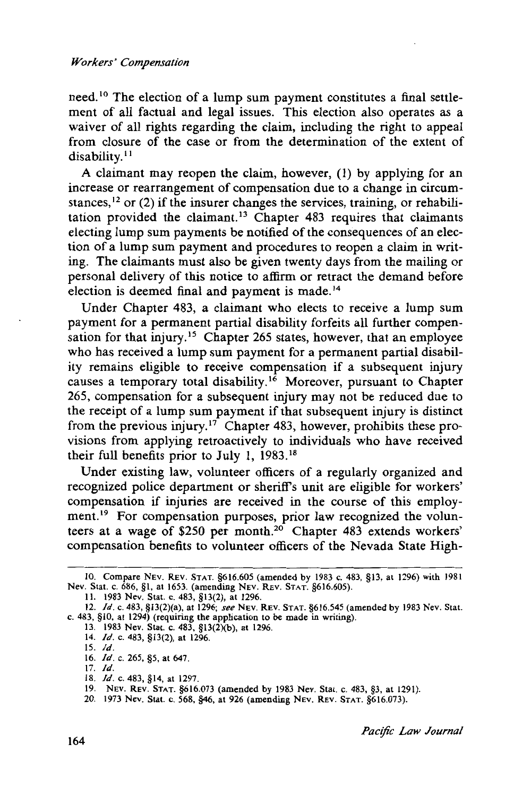#### *Workers' Compensation*

need. 10 The election of a lump sum payment constitutes a final settlement of all factual and legal issues. This election also operates as a waiver of all rights regarding the claim, including the right to appeal from closure of the case or from the determination of the extent of disability.<sup>11</sup>

A claimant may reopen the claim, however, (1) by applying for an increase or rearrangement of compensation due to a change in circumstances,  $^{12}$  or (2) if the insurer changes the services, training, or rehabilitation provided the claimant. 13 Chapter 483 requires that claimants electing lump sum payments be notified of the consequences of an election of a lump sum payment and procedures to reopen a claim in writing. The claimants must also be given twenty days from the mailing or personal delivery of this notice to affirm or retract the demand before election is deemed final and payment is made. 14

Under Chapter 483, a claimant who elects to receive a lump sum payment for a permanent partial disability forfeits all further compensation for that injury.<sup>15</sup> Chapter 265 states, however, that an employee who has received a lump sum payment for a permanent partial disability remains eligible to receive compensation if a subsequent injury causes a temporary total disability.<sup>16</sup> Moreover, pursuant to Chapter 265, compensation for a subsequent injury may not be reduced due to the receipt of a lump sum payment if that subsequent injury is distinct from the previous injury.<sup>17</sup> Chapter 483, however, prohibits these provisions from applying retroactively to individuals who have received their full benefits prior to July 1, 1983. <sup>18</sup>

Under existing law, volunteer officers of a regularly organized and recognized police department or sheriffs unit are eligible for workers' compensation if injuries are received in the course of this employment.<sup>19</sup> For compensation purposes, prior law recognized the volunteers at a wage of \$250 per month.<sup>20</sup> Chapter 483 extends workers' compensation benefits to volunteer officers of the Nevada State High-

<sup>10.</sup> Compare NEv. REv. STAT. §616.605 (amended by 1983 c. 483, §13, at 1296) with 1981 Nev. Stat. c. 686, §1, at 1653. (amending NEV. REv. STAT. §616.605).

II. 1983 Nev. Stat. c. 483, § 13(2), at 1296.

<sup>12.</sup> */d.* c. 483, §13(2)(a), at 1296; *see* NEv. REv. STAT. §616.545 (amended by 1983 Nev. Stat. c. 483, §10, at 1294) (requiring the application to be made in writing).

<sup>13. 1983</sup> Nev. Stat. c. 483, §13(2)(b), at 1296.

<sup>14.</sup> */d.* c. 483, §13(2), at 1296.

IS. */d.*  16. */d.* c. 265, §5, at 647.

<sup>17.</sup> */d.* 

<sup>18.</sup> */d.* c. 483, §14, at 1297.

<sup>19.</sup> NEv. REv. STAT. §616.Q73 (amended by 1983 Nev. Stat. c. 483, §3, at 1291).

<sup>20. 1973</sup> Nev. Stat. c. 568, §46, at 926 (amending NEv. REv. STAT. §616.Q73).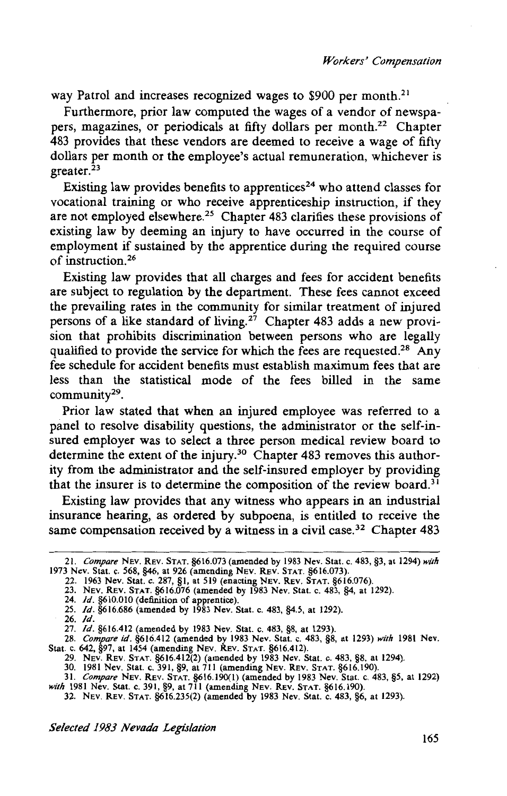way Patrol and increases recognized wages to \$900 per month.<sup>21</sup>

Furthermore, prior law computed the wages of a vendor of newspapers, magazines, or periodicals at fifty dollars per month. 22 Chapter 483 provides that these vendors are deemed to receive a wage of fifty dollars per month or the employee's actual remuneration, whichever is greater.<sup>23</sup>

Existing law provides benefits to apprentices<sup>24</sup> who attend classes for vocational training or who receive apprenticeship instruction, if they are not employed elsewhere.<sup>25</sup> Chapter 483 clarifies these provisions of existing law by deeming an injury to have occurred in the course of employment if sustained by the apprentice during the required course of instruction.26

Existing law provides that all charges and fees for accident benefits are subject to regulation by the department. These fees cannot exceed the prevailing rates in the community for similar treatment of injured persons of a like standard of living.27 Chapter 483 adds a new provision that prohibits discrimination between persons who are legally qualified to provide the service for which the fees are requested.<sup>28</sup> Any fee schedule for accident benefits must establish maximum fees that are less than the statistical mode of the fees billed in the same community<sup>29</sup>.

Prior law stated that when an injured employee was referred to a panel to resolve disability questions, the administrator or the self-insured employer was to select a three person medical review board to determine the extent of the injury.<sup>30</sup> Chapter 483 removes this authority from the administrator and the self-insured employer by providing that the insurer is to determine the composition of the review board.<sup>31</sup>

Existing law provides that any witness who appears in an industrial insurance hearing, as ordered by subpoena, is entitled to receive the same compensation received by a witness in a civil case.<sup>32</sup> Chapter  $483$ 

25. */d.* §616.686 (amended by 1983 Nev. Stat. c. 483, §4.5, at 1292).

*Selected 1983 Nevada Legislation* 

<sup>21.</sup> *Compare* NEV. REV. STAT. §616.073 (amended by 1983 Nev. Stat. c. 483, §3, at 1294) *with*  1973 Nev. Stat. c. 568, §46, at 926 (amending NEv. REv. STAT. §616.o73).

<sup>22. 1963</sup> Nev. Stat. c. 287, §I, at 519 (enacting NEv. REV. STAT. §616.076).

<sup>23.</sup> NEV. REv. STAT. §616.076 (amended by 1983 Nev. Stat. c. 483, §4, at 1292).

<sup>24.</sup> */d.* §610.010 (definition of apprentice).

<sup>26.</sup> */d.* 

<sup>27.</sup> *Id.* §616.412 (amended by 1983 Nev. Stat. c. 483, §8, at 1293).

<sup>28.</sup> *Compare id.* §616.412 (amended by 1983 Nev. Stat. c. 483, §8, at 1293) *with* 1981 Nev. Stat. c. 642, §97, at 1454 (amending NEv. REv. STAT. §616.412).

<sup>29.</sup> NEV. REv. STAT. §616.412(2) (amended by 1983 Nev. Stat. c. 483, §8, at 1294).

<sup>30. 1981</sup> Nev. Stat. c. 391, §9, at 711 (amending NEV. REv. STAT. §616.190).

<sup>31.</sup> *Compare* NEV. REV. STAT. §616.190(1) (amended by 1983 Nev. Stat. c. 483, §5, at 1292) *with* 1981 Nev. Stat. c. 391, §9, at 711 (amending NEv. REV. STAT. §616.190).

<sup>32.</sup> NEV. REV. STAT. §616.235(2) (amended by 1983 Nev. Stat. c. 483, §6, at 1293).